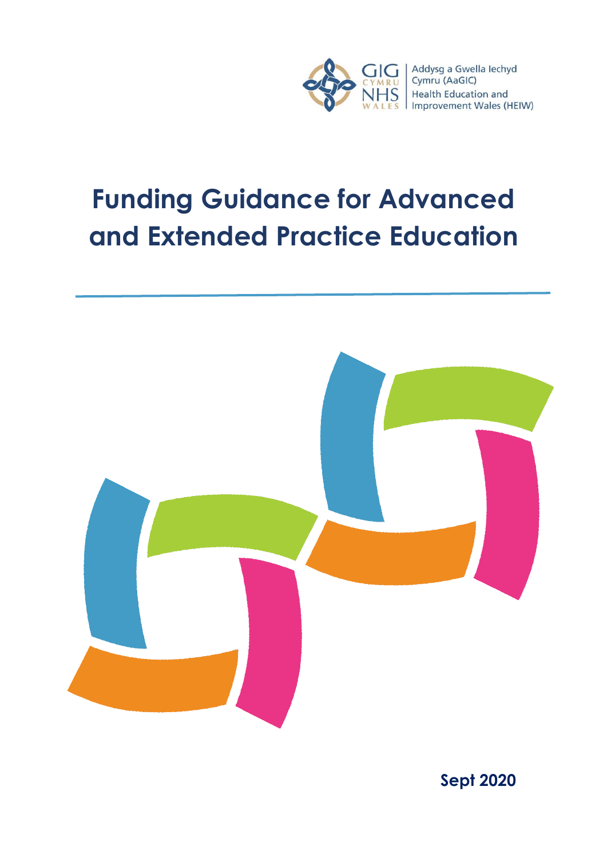

# **Funding Guidance for Advanced and Extended Practice Education**



**Sept 2020**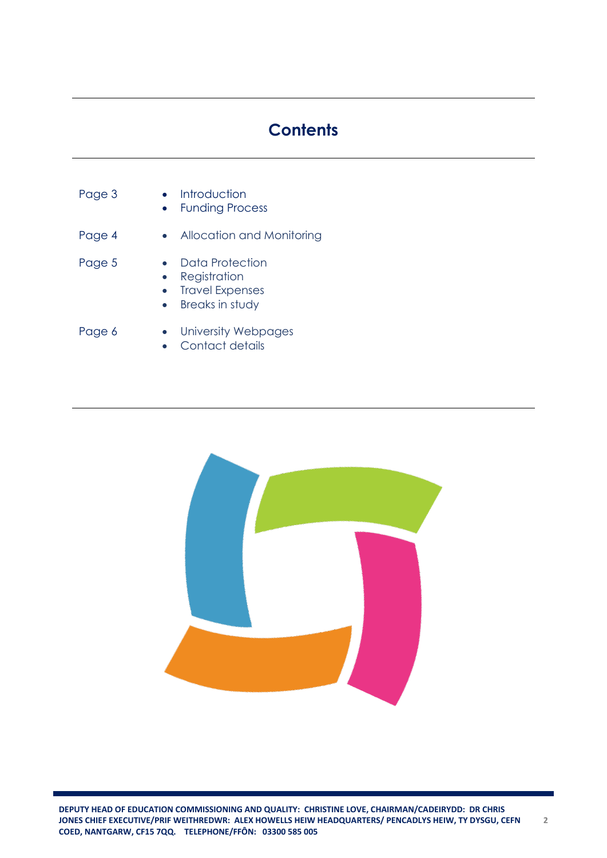# **Contents**

| Page 3 | Introduction<br><b>Funding Process</b>                                              |
|--------|-------------------------------------------------------------------------------------|
| Page 4 | Allocation and Monitoring                                                           |
| Page 5 | Data Protection<br>Registration<br><b>Travel Expenses</b><br><b>Breaks in study</b> |
| Page 6 | University Webpages<br>Contact details                                              |

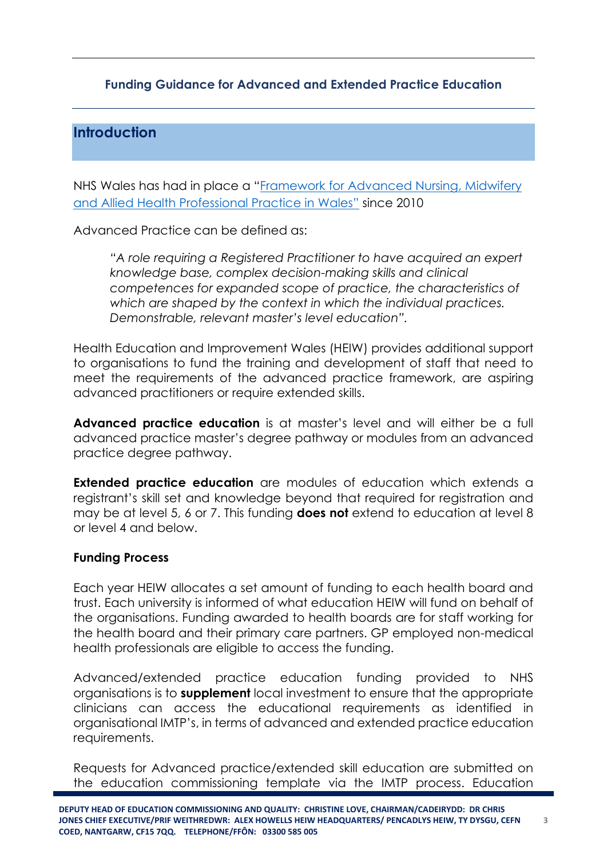### **Funding Guidance for Advanced and Extended Practice Education**

# **Introduction**

NHS Wales has had in place a "[Framework for Advanced Nursing, Midwifery](http://www.weds.wales.nhs.uk/sitesplus/documents/1076/NLIAH%20Advanced%20Practice%20Framework.pdf)  [and Allied Health Professional Practice in Wales"](http://www.weds.wales.nhs.uk/sitesplus/documents/1076/NLIAH%20Advanced%20Practice%20Framework.pdf) since 2010

Advanced Practice can be defined as:

*"A role requiring a Registered Practitioner to have acquired an expert knowledge base, complex decision-making skills and clinical competences for expanded scope of practice, the characteristics of which are shaped by the context in which the individual practices. Demonstrable, relevant master's level education".*

Health Education and Improvement Wales (HEIW) provides additional support to organisations to fund the training and development of staff that need to meet the requirements of the advanced practice framework, are aspiring advanced practitioners or require extended skills.

**Advanced practice education** is at master's level and will either be a full advanced practice master's degree pathway or modules from an advanced practice degree pathway.

**Extended practice education** are modules of education which extends a registrant's skill set and knowledge beyond that required for registration and may be at level 5, 6 or 7. This funding **does not** extend to education at level 8 or level 4 and below.

#### **Funding Process**

Each year HEIW allocates a set amount of funding to each health board and trust. Each university is informed of what education HEIW will fund on behalf of the organisations. Funding awarded to health boards are for staff working for the health board and their primary care partners. GP employed non-medical health professionals are eligible to access the funding.

Advanced/extended practice education funding provided to NHS organisations is to **supplement** local investment to ensure that the appropriate clinicians can access the educational requirements as identified in organisational IMTP's, in terms of advanced and extended practice education requirements.

Requests for Advanced practice/extended skill education are submitted on the education commissioning template via the IMTP process. Education

**3**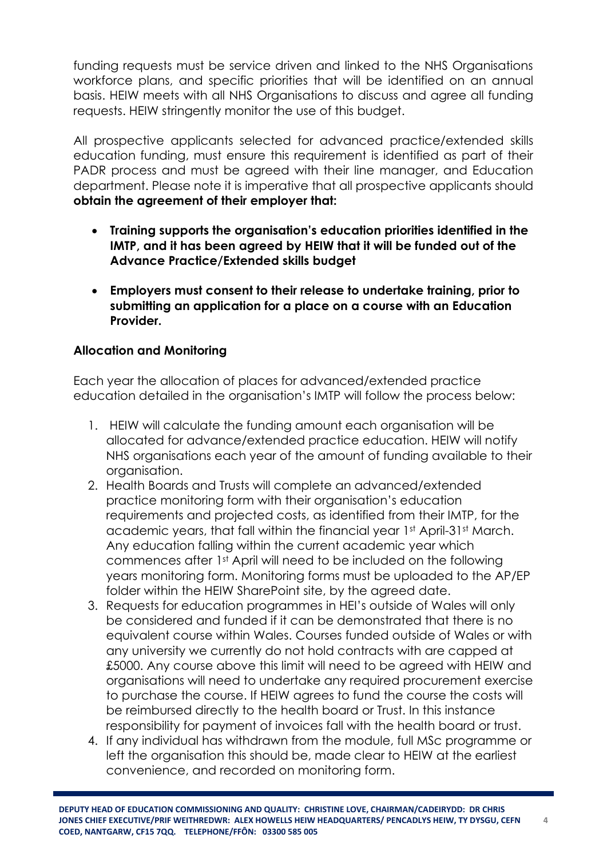funding requests must be service driven and linked to the NHS Organisations workforce plans, and specific priorities that will be identified on an annual basis. HEIW meets with all NHS Organisations to discuss and agree all funding requests. HEIW stringently monitor the use of this budget.

All prospective applicants selected for advanced practice/extended skills education funding, must ensure this requirement is identified as part of their PADR process and must be agreed with their line manager, and Education department. Please note it is imperative that all prospective applicants should **obtain the agreement of their employer that:**

- **Training supports the organisation's education priorities identified in the IMTP, and it has been agreed by HEIW that it will be funded out of the Advance Practice/Extended skills budget**
- **Employers must consent to their release to undertake training, prior to submitting an application for a place on a course with an Education Provider.**

# **Allocation and Monitoring**

Each year the allocation of places for advanced/extended practice education detailed in the organisation's IMTP will follow the process below:

- 1. HEIW will calculate the funding amount each organisation will be allocated for advance/extended practice education. HEIW will notify NHS organisations each year of the amount of funding available to their organisation.
- 2. Health Boards and Trusts will complete an advanced/extended practice monitoring form with their organisation's education requirements and projected costs, as identified from their IMTP, for the academic years, that fall within the financial year 1st April-31st March. Any education falling within the current academic year which commences after 1st April will need to be included on the following years monitoring form. Monitoring forms must be uploaded to the AP/EP folder within the HEIW SharePoint site, by the agreed date.
- 3. Requests for education programmes in HEI's outside of Wales will only be considered and funded if it can be demonstrated that there is no equivalent course within Wales. Courses funded outside of Wales or with any university we currently do not hold contracts with are capped at £5000. Any course above this limit will need to be agreed with HEIW and organisations will need to undertake any required procurement exercise to purchase the course. If HEIW agrees to fund the course the costs will be reimbursed directly to the health board or Trust. In this instance responsibility for payment of invoices fall with the health board or trust.
- 4. If any individual has withdrawn from the module, full MSc programme or left the organisation this should be, made clear to HEIW at the earliest convenience, and recorded on monitoring form.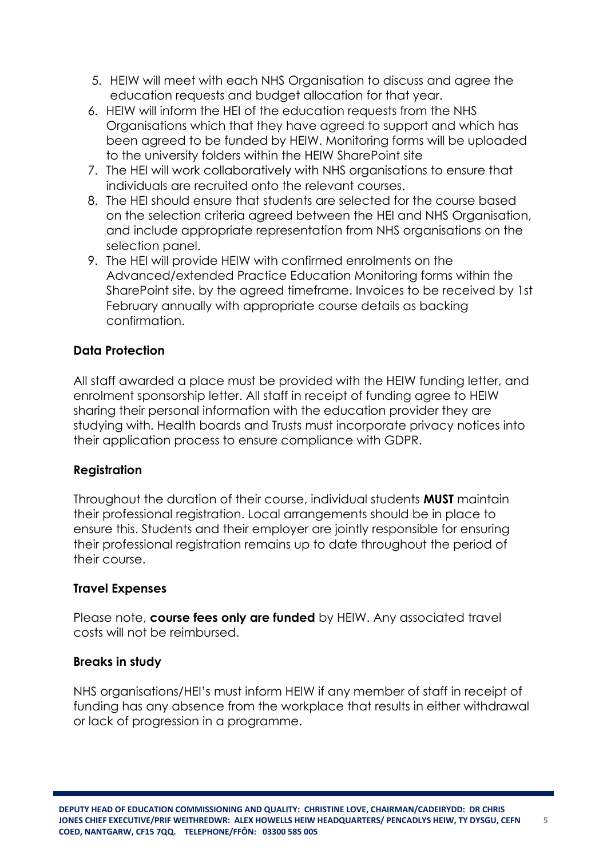- 5. HEIW will meet with each NHS Organisation to discuss and agree the education requests and budget allocation for that year.
- 6. HEIW will inform the HEI of the education requests from the NHS Organisations which that they have agreed to support and which has been agreed to be funded by HEIW. Monitoring forms will be uploaded to the university folders within the HEIW SharePoint site
- 7. The HEI will work collaboratively with NHS organisations to ensure that individuals are recruited onto the relevant courses.
- 8. The HEI should ensure that students are selected for the course based on the selection criteria agreed between the HEI and NHS Organisation, and include appropriate representation from NHS organisations on the selection panel.
- 9. The HEI will provide HEIW with confirmed enrolments on the Advanced/extended Practice Education Monitoring forms within the SharePoint site. by the agreed timeframe. Invoices to be received by 1st February annually with appropriate course details as backing confirmation.

## **Data Protection**

All staff awarded a place must be provided with the HEIW funding letter, and enrolment sponsorship letter. All staff in receipt of funding agree to HEIW sharing their personal information with the education provider they are studying with. Health boards and Trusts must incorporate privacy notices into their application process to ensure compliance with GDPR.

#### **Registration**

Throughout the duration of their course, individual students **MUST** maintain their professional registration. Local arrangements should be in place to ensure this. Students and their employer are jointly responsible for ensuring their professional registration remains up to date throughout the period of their course.

#### **Travel Expenses**

Please note, **course fees only are funded** by HEIW. Any associated travel costs will not be reimbursed.

#### **Breaks in study**

NHS organisations/HEI's must inform HEIW if any member of staff in receipt of funding has any absence from the workplace that results in either withdrawal or lack of progression in a programme.

**5**